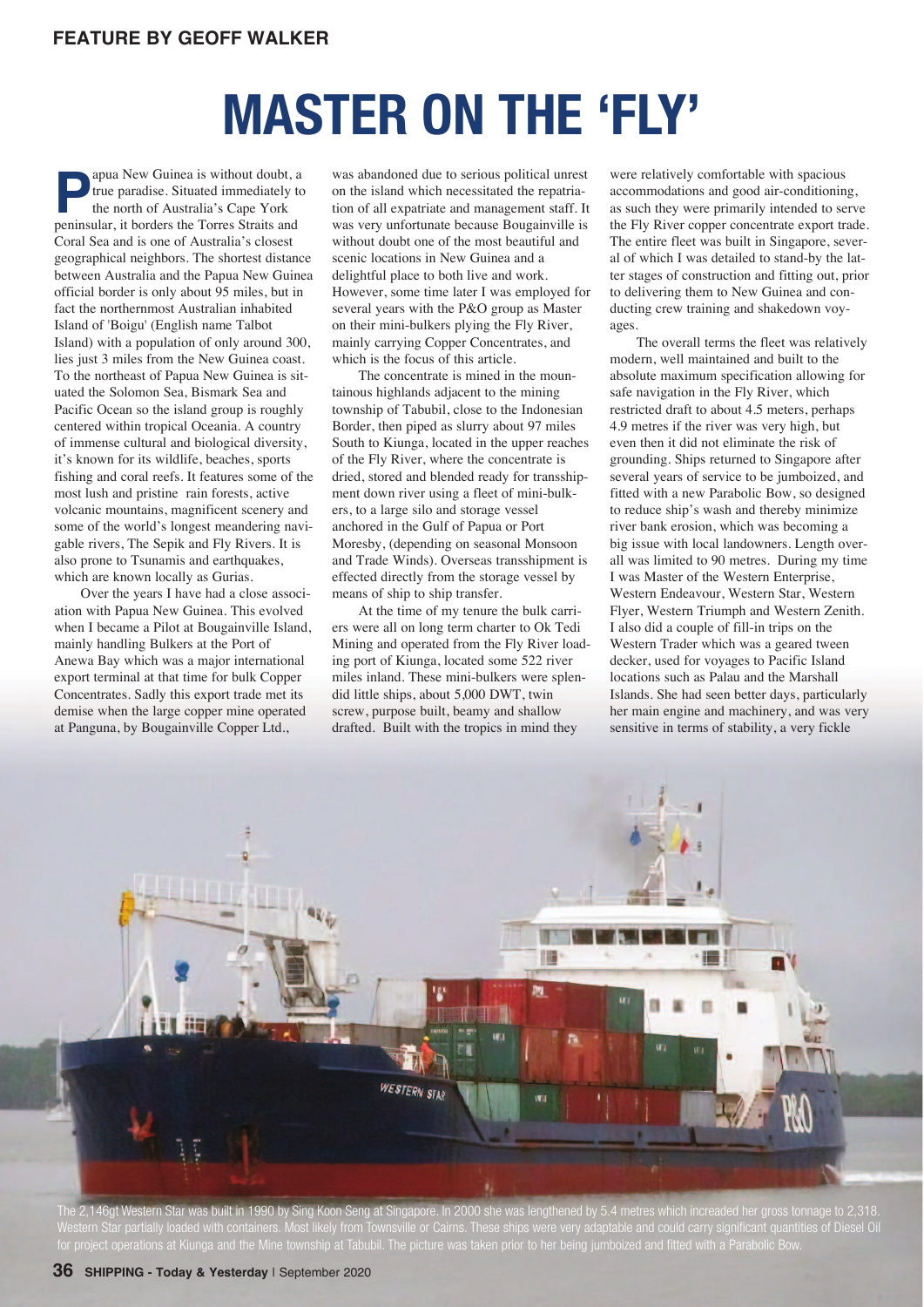## **MASTER ON THE 'FLY'**

**Papua New Guinea is without doubt, a**<br>true paradise. Situated immediately to<br>the north of Australia's Cape York<br>peninsular, it borders the Torres Straits and true paradise. Situated immediately to the north of Australia's Cape York peninsular, it borders the Torres Straits and Coral Sea and is one of Australia's closest geographical neighbors. The shortest distance between Australia and the Papua New Guinea official border is only about 95 miles, but in fact the northernmost Australian inhabited Island of 'Boigu' (English name Talbot Island) with a population of only around 300, lies just 3 miles from the New Guinea coast. To the northeast of Papua New Guinea is situated the Solomon Sea, Bismark Sea and Pacific Ocean so the island group is roughly centered within tropical Oceania. A country of immense cultural and biological diversity, it's known for its wildlife, beaches, sports fishing and coral reefs. It features some of the most lush and pristine rain forests, active volcanic mountains, magnificent scenery and some of the world's longest meandering navigable rivers, The Sepik and Fly Rivers. It is also prone to Tsunamis and earthquakes, which are known locally as Gurias.

Over the years I have had a close association with Papua New Guinea. This evolved when I became a Pilot at Bougainville Island, mainly handling Bulkers at the Port of Anewa Bay which was a major international export terminal at that time for bulk Copper Concentrates. Sadly this export trade met its demise when the large copper mine operated at Panguna, by Bougainville Copper Ltd.,

was abandoned due to serious political unrest on the island which necessitated the repatriation of all expatriate and management staff. It was very unfortunate because Bougainville is without doubt one of the most beautiful and scenic locations in New Guinea and a delightful place to both live and work. However, some time later I was employed for several years with the P&O group as Master on their mini-bulkers plying the Fly River, mainly carrying Copper Concentrates, and which is the focus of this article.

The concentrate is mined in the mountainous highlands adjacent to the mining township of Tabubil, close to the Indonesian Border, then piped as slurry about 97 miles South to Kiunga, located in the upper reaches of the Fly River, where the concentrate is dried, stored and blended ready for transshipment down river using a fleet of mini-bulkers, to a large silo and storage vessel anchored in the Gulf of Papua or Port Moresby, (depending on seasonal Monsoon and Trade Winds). Overseas transshipment is effected directly from the storage vessel by means of ship to ship transfer.

At the time of my tenure the bulk carriers were all on long term charter to Ok Tedi Mining and operated from the Fly River loading port of Kiunga, located some 522 river miles inland. These mini-bulkers were splendid little ships, about 5,000 DWT, twin screw, purpose built, beamy and shallow drafted. Built with the tropics in mind they

were relatively comfortable with spacious accommodations and good air-conditioning, as such they were primarily intended to serve the Fly River copper concentrate export trade. The entire fleet was built in Singapore, several of which I was detailed to stand-by the latter stages of construction and fitting out, prior to delivering them to New Guinea and conducting crew training and shakedown voyages.

The overall terms the fleet was relatively modern, well maintained and built to the absolute maximum specification allowing for safe navigation in the Fly River, which restricted draft to about 4.5 meters, perhaps 4.9 metres if the river was very high, but even then it did not eliminate the risk of grounding. Ships returned to Singapore after several years of service to be jumboized, and fitted with a new Parabolic Bow, so designed to reduce ship's wash and thereby minimize river bank erosion, which was becoming a big issue with local landowners. Length overall was limited to 90 metres. During my time I was Master of the Western Enterprise, Western Endeavour, Western Star, Western Flyer, Western Triumph and Western Zenith. I also did a couple of fill-in trips on the Western Trader which was a geared tween decker, used for voyages to Pacific Island locations such as Palau and the Marshall Islands. She had seen better days, particularly her main engine and machinery, and was very sensitive in terms of stability, a very fickle



The 2,146gt Western Star was built in 1990 by Sing Koon Seng at Singapore. In 2000 she was lengthened by 5.4 metres which increaded her gross tonnage to 2,318.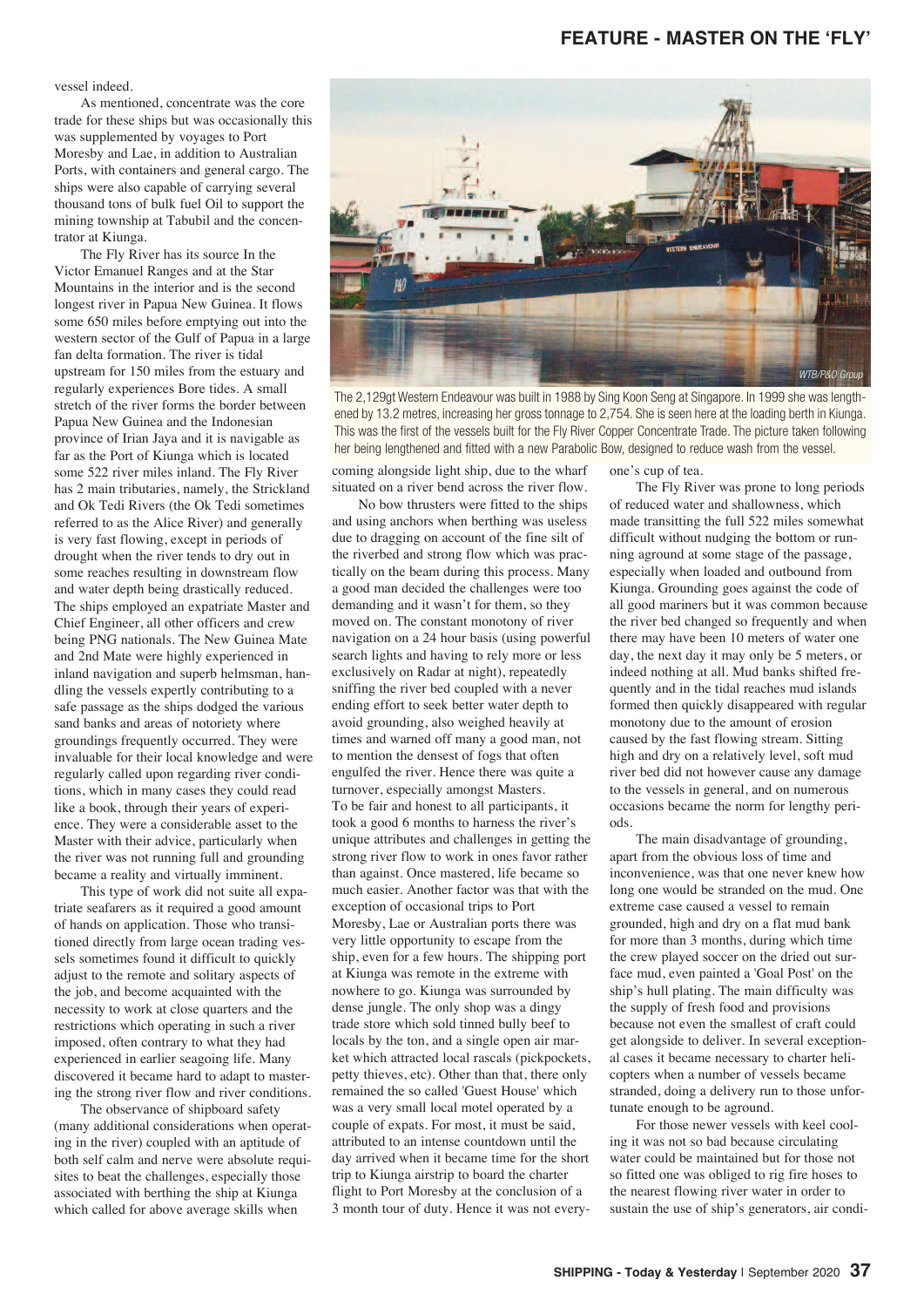## **FEATURE - MASTER ON THE 'FLY'**

vessel indeed.

As mentioned, concentrate was the core trade for these ships but was occasionally this was supplemented by voyages to Port Moresby and Lae, in addition to Australian Ports, with containers and general cargo. The ships were also capable of carrying several thousand tons of bulk fuel Oil to support the mining township at Tabubil and the concentrator at Kiunga.

The Fly River has its source In the Victor Emanuel Ranges and at the Star Mountains in the interior and is the second longest river in Papua New Guinea. It flows some 650 miles before emptying out into the western sector of the Gulf of Papua in a large fan delta formation. The river is tidal upstream for 150 miles from the estuary and regularly experiences Bore tides. A small stretch of the river forms the border between Papua New Guinea and the Indonesian province of Irian Jaya and it is navigable as far as the Port of Kiunga which is located some 522 river miles inland. The Fly River has 2 main tributaries, namely, the Strickland and Ok Tedi Rivers (the Ok Tedi sometimes referred to as the Alice River) and generally is very fast flowing, except in periods of drought when the river tends to dry out in some reaches resulting in downstream flow and water depth being drastically reduced. The ships employed an expatriate Master and Chief Engineer, all other officers and crew being PNG nationals. The New Guinea Mate and 2nd Mate were highly experienced in inland navigation and superb helmsman, handling the vessels expertly contributing to a safe passage as the ships dodged the various sand banks and areas of notoriety where groundings frequently occurred. They were invaluable for their local knowledge and were regularly called upon regarding river conditions, which in many cases they could read like a book, through their years of experience. They were a considerable asset to the Master with their advice, particularly when the river was not running full and grounding became a reality and virtually imminent.

This type of work did not suite all expatriate seafarers as it required a good amount of hands on application. Those who transitioned directly from large ocean trading vessels sometimes found it difficult to quickly adjust to the remote and solitary aspects of the job, and become acquainted with the necessity to work at close quarters and the restrictions which operating in such a river imposed, often contrary to what they had experienced in earlier seagoing life. Many discovered it became hard to adapt to mastering the strong river flow and river conditions.

The observance of shipboard safety (many additional considerations when operating in the river) coupled with an aptitude of both self calm and nerve were absolute requisites to beat the challenges, especially those associated with berthing the ship at Kiunga which called for above average skills when



The 2,129gt Western Endeavour was built in 1988 by Sing Koon Seng at Singapore. In 1999 she was lengthened by 13.2 metres, increasing her gross tonnage to 2,754. She is seen here at the loading berth in Kiunga. This was the first of the vessels built for the Fly River Copper Concentrate Trade. The picture taken following her being lengthened and fitted with a new Parabolic Bow, designed to reduce wash from the vessel.

coming alongside light ship, due to the wharf situated on a river bend across the river flow.

No bow thrusters were fitted to the ships and using anchors when berthing was useless due to dragging on account of the fine silt of the riverbed and strong flow which was practically on the beam during this process. Many a good man decided the challenges were too demanding and it wasn't for them, so they moved on. The constant monotony of river navigation on a 24 hour basis (using powerful search lights and having to rely more or less exclusively on Radar at night), repeatedly sniffing the river bed coupled with a never ending effort to seek better water depth to avoid grounding, also weighed heavily at times and warned off many a good man, not to mention the densest of fogs that often engulfed the river. Hence there was quite a turnover, especially amongst Masters. To be fair and honest to all participants, it took a good 6 months to harness the river's unique attributes and challenges in getting the strong river flow to work in ones favor rather than against. Once mastered, life became so much easier. Another factor was that with the exception of occasional trips to Port Moresby, Lae or Australian ports there was very little opportunity to escape from the ship, even for a few hours. The shipping port at Kiunga was remote in the extreme with nowhere to go. Kiunga was surrounded by dense jungle. The only shop was a dingy trade store which sold tinned bully beef to locals by the ton, and a single open air market which attracted local rascals (pickpockets, petty thieves, etc). Other than that, there only remained the so called 'Guest House' which was a very small local motel operated by a couple of expats. For most, it must be said, attributed to an intense countdown until the day arrived when it became time for the short trip to Kiunga airstrip to board the charter flight to Port Moresby at the conclusion of a 3 month tour of duty. Hence it was not everyone's cup of tea.

The Fly River was prone to long periods of reduced water and shallowness, which made transitting the full 522 miles somewhat difficult without nudging the bottom or running aground at some stage of the passage, especially when loaded and outbound from Kiunga. Grounding goes against the code of all good mariners but it was common because the river bed changed so frequently and when there may have been 10 meters of water one day, the next day it may only be 5 meters, or indeed nothing at all. Mud banks shifted frequently and in the tidal reaches mud islands formed then quickly disappeared with regular monotony due to the amount of erosion caused by the fast flowing stream. Sitting high and dry on a relatively level, soft mud river bed did not however cause any damage to the vessels in general, and on numerous occasions became the norm for lengthy periods.

The main disadvantage of grounding, apart from the obvious loss of time and inconvenience, was that one never knew how long one would be stranded on the mud. One extreme case caused a vessel to remain grounded, high and dry on a flat mud bank for more than 3 months, during which time the crew played soccer on the dried out surface mud, even painted a 'Goal Post' on the ship's hull plating. The main difficulty was the supply of fresh food and provisions because not even the smallest of craft could get alongside to deliver. In several exceptional cases it became necessary to charter helicopters when a number of vessels became stranded, doing a delivery run to those unfortunate enough to be aground.

For those newer vessels with keel cooling it was not so bad because circulating water could be maintained but for those not so fitted one was obliged to rig fire hoses to the nearest flowing river water in order to sustain the use of ship's generators, air condi-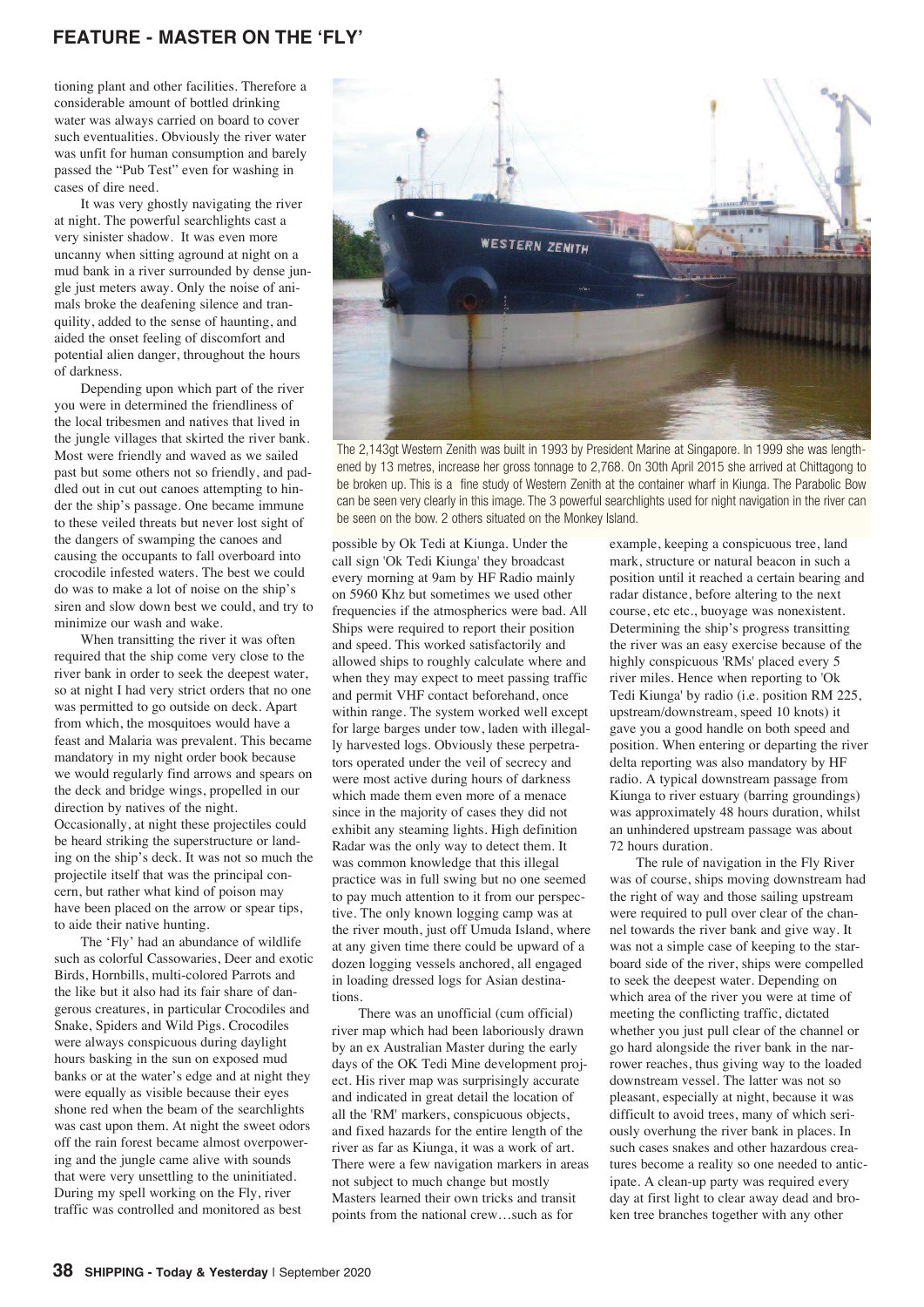## **FEATURE - MASTER ON THE 'FLY'**

tioning plant and other facilities. Therefore a considerable amount of bottled drinking water was always carried on board to cover such eventualities. Obviously the river water was unfit for human consumption and barely passed the "Pub Test" even for washing in cases of dire need.

It was very ghostly navigating the river at night. The powerful searchlights cast a very sinister shadow. It was even more uncanny when sitting aground at night on a mud bank in a river surrounded by dense jungle just meters away. Only the noise of animals broke the deafening silence and tranquility, added to the sense of haunting, and aided the onset feeling of discomfort and potential alien danger, throughout the hours of darkness.

Depending upon which part of the river you were in determined the friendliness of the local tribesmen and natives that lived in the jungle villages that skirted the river bank. Most were friendly and waved as we sailed past but some others not so friendly, and paddled out in cut out canoes attempting to hinder the ship's passage. One became immune to these veiled threats but never lost sight of the dangers of swamping the canoes and causing the occupants to fall overboard into crocodile infested waters. The best we could do was to make a lot of noise on the ship's siren and slow down best we could, and try to minimize our wash and wake.

When transitting the river it was often required that the ship come very close to the river bank in order to seek the deepest water, so at night I had very strict orders that no one was permitted to go outside on deck. Apart from which, the mosquitoes would have a feast and Malaria was prevalent. This became mandatory in my night order book because we would regularly find arrows and spears on the deck and bridge wings, propelled in our direction by natives of the night. Occasionally, at night these projectiles could be heard striking the superstructure or landing on the ship's deck. It was not so much the projectile itself that was the principal concern, but rather what kind of poison may have been placed on the arrow or spear tips, to aide their native hunting.

The 'Fly' had an abundance of wildlife such as colorful Cassowaries, Deer and exotic Birds, Hornbills, multi-colored Parrots and the like but it also had its fair share of dangerous creatures, in particular Crocodiles and Snake, Spiders and Wild Pigs. Crocodiles were always conspicuous during daylight hours basking in the sun on exposed mud banks or at the water's edge and at night they were equally as visible because their eyes shone red when the beam of the searchlights was cast upon them. At night the sweet odors off the rain forest became almost overpowering and the jungle came alive with sounds that were very unsettling to the uninitiated. During my spell working on the Fly, river traffic was controlled and monitored as best



The 2,143gt Western Zenith was built in 1993 by President Marine at Singapore. In 1999 she was lengthened by 13 metres, increase her gross tonnage to 2,768. On 30th April 2015 she arrived at Chittagong to be broken up. This is a fine study of Western Zenith at the container wharf in Kiunga. The Parabolic Bow can be seen very clearly in this image. The 3 powerful searchlights used for night navigation in the river can be seen on the bow. 2 others situated on the Monkey Island.

possible by Ok Tedi at Kiunga. Under the call sign 'Ok Tedi Kiunga' they broadcast every morning at 9am by HF Radio mainly on 5960 Khz but sometimes we used other frequencies if the atmospherics were bad. All Ships were required to report their position and speed. This worked satisfactorily and allowed ships to roughly calculate where and when they may expect to meet passing traffic and permit VHF contact beforehand, once within range. The system worked well except for large barges under tow, laden with illegally harvested logs. Obviously these perpetrators operated under the veil of secrecy and were most active during hours of darkness which made them even more of a menace since in the majority of cases they did not exhibit any steaming lights. High definition Radar was the only way to detect them. It was common knowledge that this illegal practice was in full swing but no one seemed to pay much attention to it from our perspective. The only known logging camp was at the river mouth, just off Umuda Island, where at any given time there could be upward of a dozen logging vessels anchored, all engaged in loading dressed logs for Asian destinations.

There was an unofficial (cum official) river map which had been laboriously drawn by an ex Australian Master during the early days of the OK Tedi Mine development project. His river map was surprisingly accurate and indicated in great detail the location of all the 'RM' markers, conspicuous objects, and fixed hazards for the entire length of the river as far as Kiunga, it was a work of art. There were a few navigation markers in areas not subject to much change but mostly Masters learned their own tricks and transit points from the national crew…such as for

example, keeping a conspicuous tree, land mark, structure or natural beacon in such a position until it reached a certain bearing and radar distance, before altering to the next course, etc etc., buoyage was nonexistent. Determining the ship's progress transitting the river was an easy exercise because of the highly conspicuous 'RMs' placed every 5 river miles. Hence when reporting to 'Ok Tedi Kiunga' by radio (i.e. position RM 225, upstream/downstream, speed 10 knots) it gave you a good handle on both speed and position. When entering or departing the river delta reporting was also mandatory by HF radio. A typical downstream passage from Kiunga to river estuary (barring groundings) was approximately 48 hours duration, whilst an unhindered upstream passage was about 72 hours duration.

The rule of navigation in the Fly River was of course, ships moving downstream had the right of way and those sailing upstream were required to pull over clear of the channel towards the river bank and give way. It was not a simple case of keeping to the starboard side of the river, ships were compelled to seek the deepest water. Depending on which area of the river you were at time of meeting the conflicting traffic, dictated whether you just pull clear of the channel or go hard alongside the river bank in the narrower reaches, thus giving way to the loaded downstream vessel. The latter was not so pleasant, especially at night, because it was difficult to avoid trees, many of which seriously overhung the river bank in places. In such cases snakes and other hazardous creatures become a reality so one needed to anticipate. A clean-up party was required every day at first light to clear away dead and broken tree branches together with any other